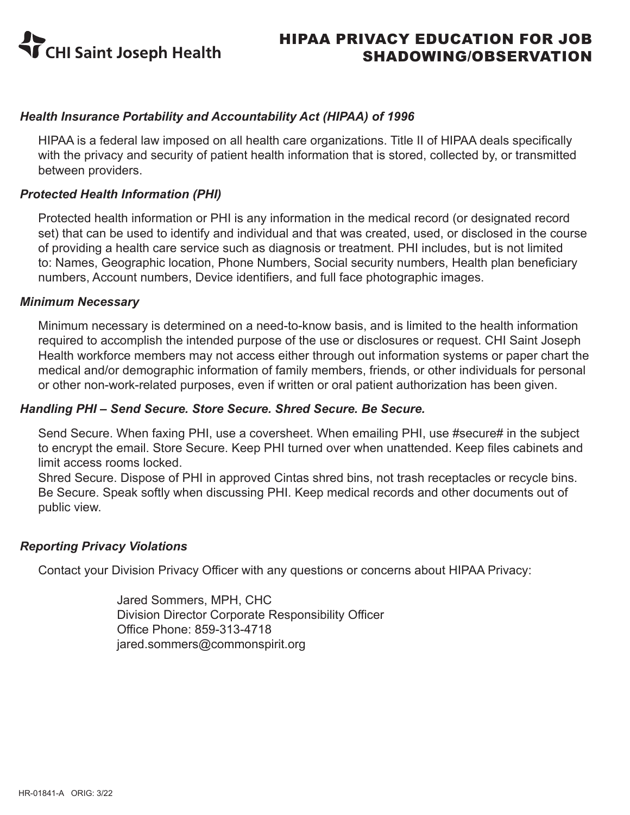

## *Health Insurance Portability and Accountability Act (HIPAA) of 1996*

HIPAA is a federal law imposed on all health care organizations. Title II of HIPAA deals specifically with the privacy and security of patient health information that is stored, collected by, or transmitted between providers.

## *Protected Health Information (PHI)*

Protected health information or PHI is any information in the medical record (or designated record set) that can be used to identify and individual and that was created, used, or disclosed in the course of providing a health care service such as diagnosis or treatment. PHI includes, but is not limited to: Names, Geographic location, Phone Numbers, Social security numbers, Health plan beneficiary numbers, Account numbers, Device identifiers, and full face photographic images.

#### *Minimum Necessary*

Minimum necessary is determined on a need-to-know basis, and is limited to the health information required to accomplish the intended purpose of the use or disclosures or request. CHI Saint Joseph Health workforce members may not access either through out information systems or paper chart the medical and/or demographic information of family members, friends, or other individuals for personal or other non-work-related purposes, even if written or oral patient authorization has been given.

#### *Handling PHI – Send Secure. Store Secure. Shred Secure. Be Secure.*

Send Secure. When faxing PHI, use a coversheet. When emailing PHI, use #secure# in the subject to encrypt the email. Store Secure. Keep PHI turned over when unattended. Keep files cabinets and limit access rooms locked.

Shred Secure. Dispose of PHI in approved Cintas shred bins, not trash receptacles or recycle bins. Be Secure. Speak softly when discussing PHI. Keep medical records and other documents out of public view.

#### *Reporting Privacy Violations*

Contact your Division Privacy Officer with any questions or concerns about HIPAA Privacy:

Jared Sommers, MPH, CHC Division Director Corporate Responsibility Officer Office Phone: 859-313-4718 jared.sommers@commonspirit.org